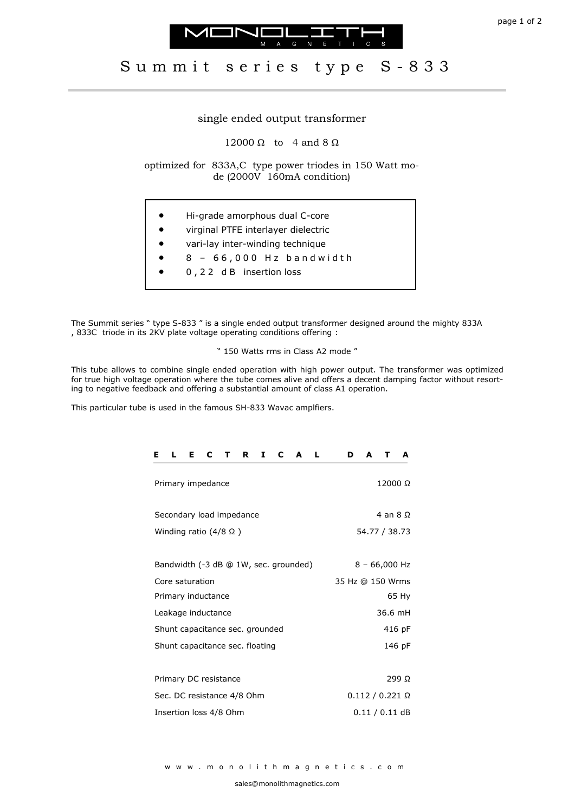



## Summit series type S-833

## single ended output transformer

12000  $\Omega$  to 4 and 8  $\Omega$ 

optimized for 833A,C type power triodes in 150 Watt mode (2000V 160mA condition)

- Hi-grade amorphous dual C-core
- virginal PTFE interlayer dielectric
- vari-lay inter-winding technique
- $8 66,000$  Hz bandwidth
- 0 , 2 2 d B insertion loss

The Summit series " type S-833 " is a single ended output transformer designed around the mighty 833A , 833C triode in its 2KV plate voltage operating conditions offering :

" 150 Watts rms in Class A2 mode "

This tube allows to combine single ended operation with high power output. The transformer was optimized for true high voltage operation where the tube comes alive and offers a decent damping factor without resorting to negative feedback and offering a substantial amount of class A1 operation.

This particular tube is used in the famous SH-833 Wavac amplfiers.

| L<br>Е<br>C<br>C<br>Е<br>R<br>I<br>A<br>$\mathbf{L}$<br>$\mathbf{T}$ | A<br>D<br>A<br>т       |
|----------------------------------------------------------------------|------------------------|
| Primary impedance                                                    | 12000 Ω                |
| Secondary load impedance                                             | 4 an $8 \Omega$        |
| Winding ratio (4/8 Ω)                                                | 54.77 / 38.73          |
|                                                                      |                        |
| Bandwidth (-3 dB @ 1W, sec. grounded)                                | $8 - 66,000$ Hz        |
| Core saturation                                                      | 35 Hz @ 150 Wrms       |
| Primary inductance                                                   | 65 Hy                  |
| Leakage inductance                                                   | 36.6 mH                |
| Shunt capacitance sec. grounded                                      | 416 pF                 |
| Shunt capacitance sec. floating                                      | 146 pF                 |
|                                                                      |                        |
| Primary DC resistance                                                | 299 Ω                  |
| Sec. DC resistance 4/8 Ohm                                           | $0.112 / 0.221 \Omega$ |
| Insertion loss 4/8 Ohm                                               | $0.11/0.11$ dB         |
|                                                                      |                        |